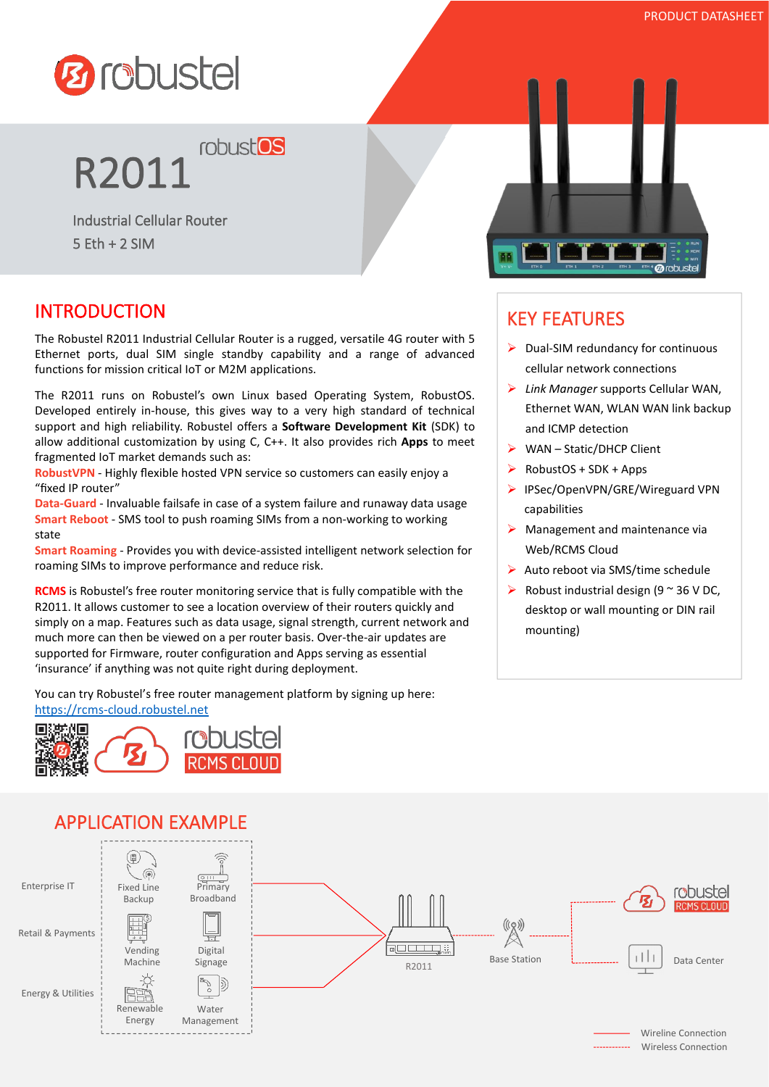

# **R2011 robust<sup>os</sup>**

Industrial Cellular Router  $5$  Fth  $+$  2 SIM

## INTRODUCTION

The Robustel R2011 Industrial Cellular Router is a rugged, versatile 4G router with 5 Ethernet ports, dual SIM single standby capability and a range of advanced functions for mission critical IoT or M2M applications.

The R2011 runs on Robustel's own Linux based Operating System, RobustOS. Developed entirely in-house, this gives way to a very high standard of technical support and high reliability. Robustel offers a **Software Development Kit** (SDK) to allow additional customization by using C, C++. It also provides rich **Apps**to meet fragmented IoT market demands such as:

**RobustVPN** - Highly flexible hosted VPN service so customers can easily enjoy a "fixed IP router"

**Data-Guard** - Invaluable failsafe in case of a system failure and runaway data usage **Smart Reboot** - SMS tool to push roaming SIMs from a non-working to working state

**Smart Roaming** - Provides you with device-assisted intelligent network selection for roaming SIMs to improve performance and reduce risk.

**RCMS** is Robustel's free router monitoring service that is fully compatible with the R2011. It allows customer to see a location overview of their routers quickly and simply on a map. Features such as data usage, signal strength, current network and much more can then be viewed on a per router basis. Over-the-air updates are supported for Firmware, router configuration and Apps serving as essential 'insurance' if anything was not quite right during deployment.

You can try Robustel's free router management platform by signing up here: <https://rcms-cloud.robustel.net>





# KEY FEATURES

- $\triangleright$  Dual-SIM redundancy for continuous cellular network connections
- *Link Manager* supports Cellular WAN, Ethernet WAN, WLAN WAN link backup and ICMP detection
- WAN Static/DHCP Client
- RobustOS + SDK + Apps
- ▶ IPSec/OpenVPN/GRE/Wireguard VPN capabilities
- $\triangleright$  Management and maintenance via Web/RCMS Cloud
- $\triangleright$  Auto reboot via SMS/time schedule
- $\triangleright$  Robust industrial design (9  $\sim$  36 V DC, desktop or wall mounting or DIN rail mounting)